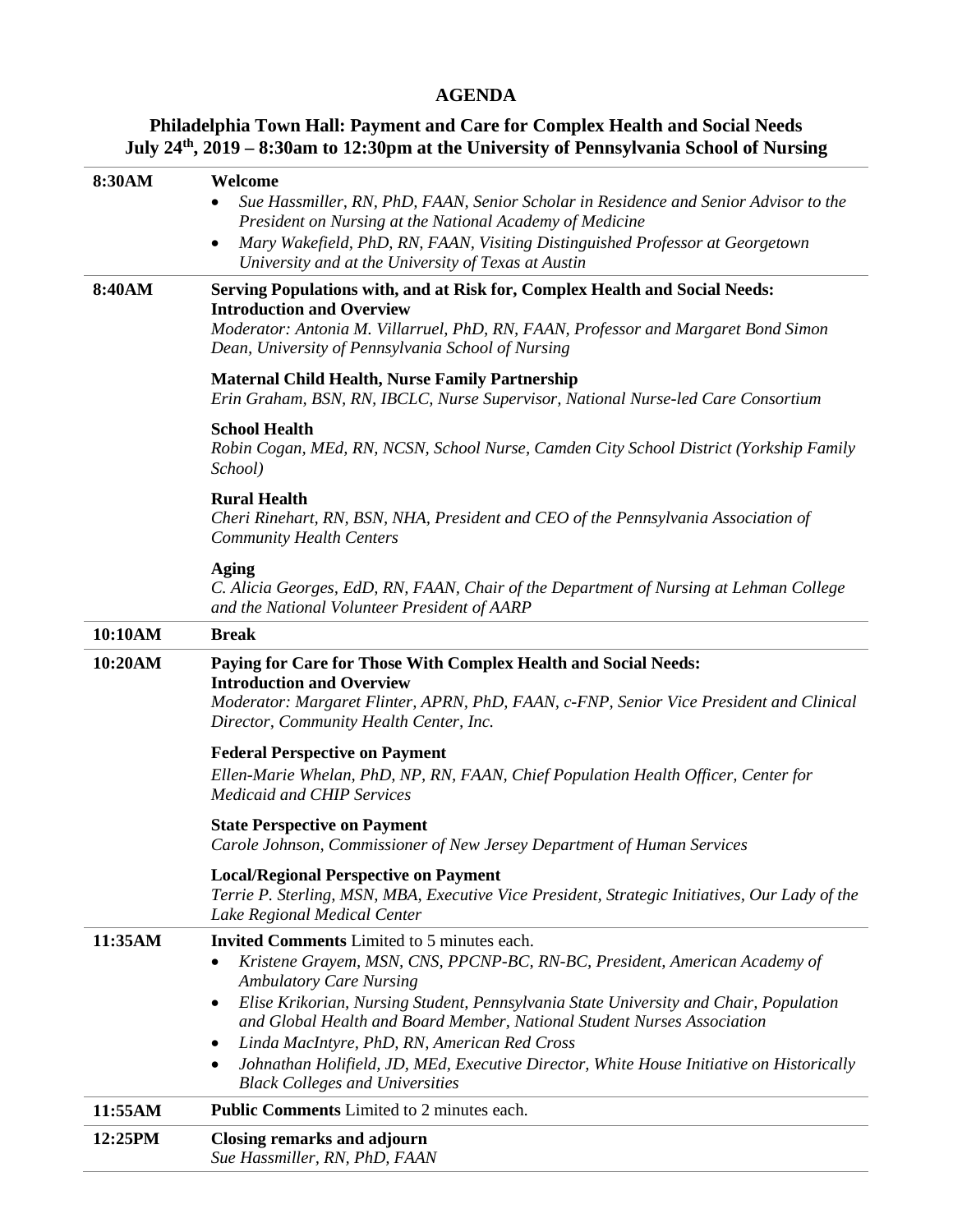# **AGENDA**

#### **Philadelphia Town Hall: Payment and Care for Complex Health and Social Needs July 24th, 2019 – 8:30am to 12:30pm at the University of Pennsylvania School of Nursing**

| 8:30AM  | Welcome                                                                                                                                                                                                                                   |
|---------|-------------------------------------------------------------------------------------------------------------------------------------------------------------------------------------------------------------------------------------------|
|         | Sue Hassmiller, RN, PhD, FAAN, Senior Scholar in Residence and Senior Advisor to the                                                                                                                                                      |
|         | President on Nursing at the National Academy of Medicine<br>Mary Wakefield, PhD, RN, FAAN, Visiting Distinguished Professor at Georgetown<br>$\bullet$                                                                                    |
|         | University and at the University of Texas at Austin                                                                                                                                                                                       |
| 8:40AM  | Serving Populations with, and at Risk for, Complex Health and Social Needs:<br><b>Introduction and Overview</b><br>Moderator: Antonia M. Villarruel, PhD, RN, FAAN, Professor and Margaret Bond Simon                                     |
|         | Dean, University of Pennsylvania School of Nursing                                                                                                                                                                                        |
|         | <b>Maternal Child Health, Nurse Family Partnership</b><br>Erin Graham, BSN, RN, IBCLC, Nurse Supervisor, National Nurse-led Care Consortium                                                                                               |
|         | <b>School Health</b><br>Robin Cogan, MEd, RN, NCSN, School Nurse, Camden City School District (Yorkship Family<br>School)                                                                                                                 |
|         | <b>Rural Health</b><br>Cheri Rinehart, RN, BSN, NHA, President and CEO of the Pennsylvania Association of<br><b>Community Health Centers</b>                                                                                              |
|         | Aging<br>C. Alicia Georges, EdD, RN, FAAN, Chair of the Department of Nursing at Lehman College<br>and the National Volunteer President of AARP                                                                                           |
| 10:10AM | <b>Break</b>                                                                                                                                                                                                                              |
| 10:20AM | Paying for Care for Those With Complex Health and Social Needs:<br><b>Introduction and Overview</b><br>Moderator: Margaret Flinter, APRN, PhD, FAAN, c-FNP, Senior Vice President and Clinical<br>Director, Community Health Center, Inc. |
|         | <b>Federal Perspective on Payment</b><br>Ellen-Marie Whelan, PhD, NP, RN, FAAN, Chief Population Health Officer, Center for<br><b>Medicaid and CHIP Services</b>                                                                          |
|         |                                                                                                                                                                                                                                           |
|         | <b>State Perspective on Payment</b><br>Carole Johnson, Commissioner of New Jersey Department of Human Services                                                                                                                            |
|         | <b>Local/Regional Perspective on Payment</b><br>Terrie P. Sterling, MSN, MBA, Executive Vice President, Strategic Initiatives, Our Lady of the<br>Lake Regional Medical Center                                                            |
| 11:35AM | <b>Invited Comments</b> Limited to 5 minutes each.<br>Kristene Grayem, MSN, CNS, PPCNP-BC, RN-BC, President, American Academy of                                                                                                          |
|         | <b>Ambulatory Care Nursing</b><br>Elise Krikorian, Nursing Student, Pennsylvania State University and Chair, Population<br>٠<br>and Global Health and Board Member, National Student Nurses Association                                   |
|         | Linda MacIntyre, PhD, RN, American Red Cross<br>٠                                                                                                                                                                                         |
|         | Johnathan Holifield, JD, MEd, Executive Director, White House Initiative on Historically<br><b>Black Colleges and Universities</b>                                                                                                        |
| 11:55AM | <b>Public Comments</b> Limited to 2 minutes each.                                                                                                                                                                                         |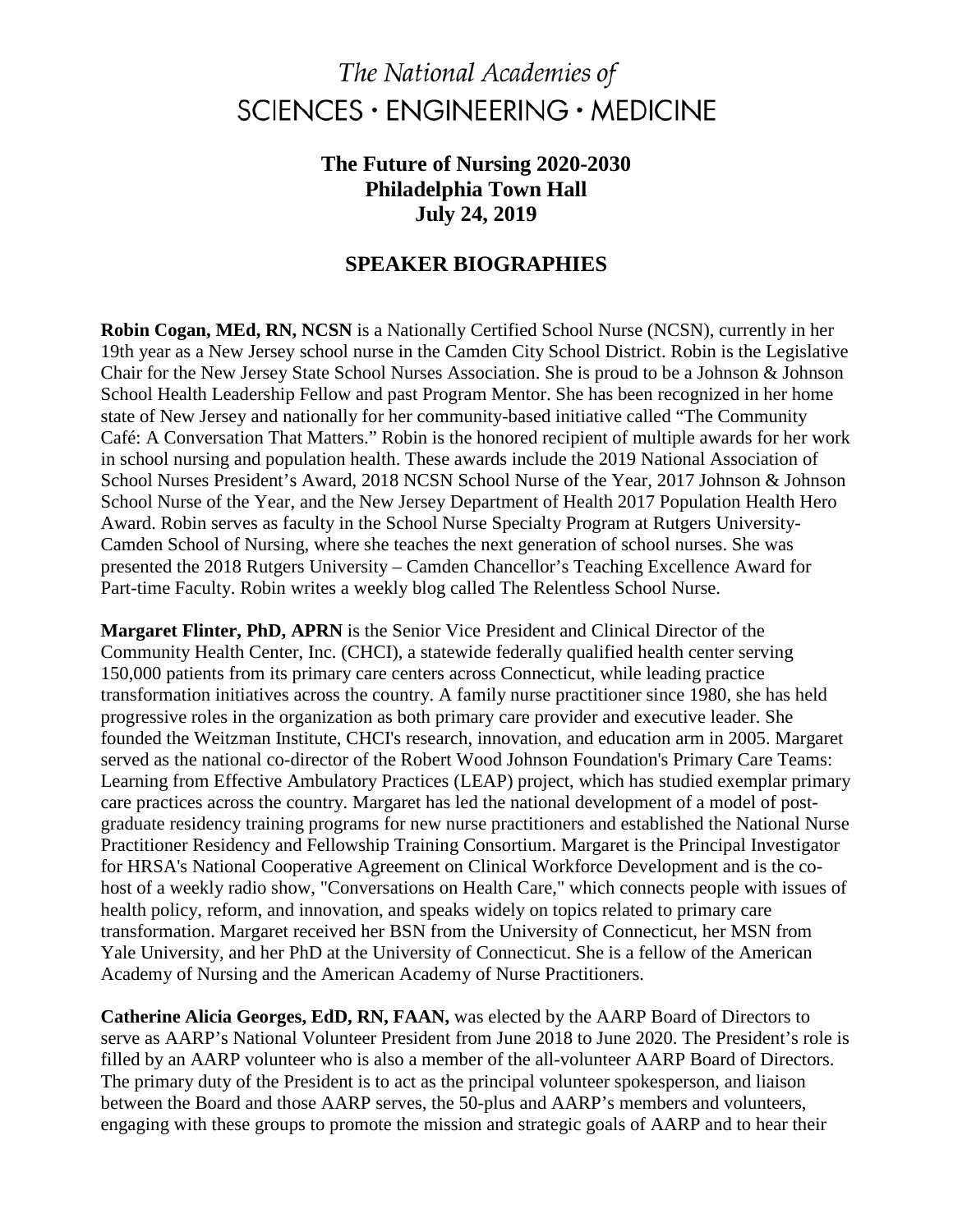# **The Future of Nursing 2020-2030 Philadelphia Town Hall July 24, 2019**

# **SPEAKER BIOGRAPHIES**

**Robin Cogan, MEd, RN, NCSN** is a Nationally Certified School Nurse (NCSN), currently in her 19th year as a New Jersey school nurse in the Camden City School District. Robin is the Legislative Chair for the New Jersey State School Nurses Association. She is proud to be a Johnson & Johnson School Health Leadership Fellow and past Program Mentor. She has been recognized in her home state of New Jersey and nationally for her community-based initiative called "The Community Café: A Conversation That Matters." Robin is the honored recipient of multiple awards for her work in school nursing and population health. These awards include the 2019 National Association of School Nurses President's Award, 2018 NCSN School Nurse of the Year, 2017 Johnson & Johnson School Nurse of the Year, and the New Jersey Department of Health 2017 Population Health Hero Award. Robin serves as faculty in the School Nurse Specialty Program at Rutgers University-Camden School of Nursing, where she teaches the next generation of school nurses. She was presented the 2018 Rutgers University – Camden Chancellor's Teaching Excellence Award for Part-time Faculty. Robin writes a weekly blog called The Relentless School Nurse.

**Margaret Flinter, PhD, APRN** is the Senior Vice President and Clinical Director of the Community Health Center, Inc. (CHCI), a statewide federally qualified health center serving 150,000 patients from its primary care centers across Connecticut, while leading practice transformation initiatives across the country. A family nurse practitioner since 1980, she has held progressive roles in the organization as both primary care provider and executive leader. She founded the Weitzman Institute, CHCI's research, innovation, and education arm in 2005. Margaret served as the national co-director of the Robert Wood Johnson Foundation's Primary Care Teams: Learning from Effective Ambulatory Practices (LEAP) project, which has studied exemplar primary care practices across the country. Margaret has led the national development of a model of postgraduate residency training programs for new nurse practitioners and established the National Nurse Practitioner Residency and Fellowship Training Consortium. Margaret is the Principal Investigator for HRSA's National Cooperative Agreement on Clinical Workforce Development and is the cohost of a weekly radio show, "Conversations on Health Care," which connects people with issues of health policy, reform, and innovation, and speaks widely on topics related to primary care transformation. Margaret received her BSN from the University of Connecticut, her MSN from Yale University, and her PhD at the University of Connecticut. She is a fellow of the American Academy of Nursing and the American Academy of Nurse Practitioners.

**Catherine Alicia Georges, EdD, RN, FAAN,** was elected by the AARP Board of Directors to serve as AARP's National Volunteer President from June 2018 to June 2020. The President's role is filled by an AARP volunteer who is also a member of the all-volunteer AARP Board of Directors. The primary duty of the President is to act as the principal volunteer spokesperson, and liaison between the Board and those AARP serves, the 50-plus and AARP's members and volunteers, engaging with these groups to promote the mission and strategic goals of AARP and to hear their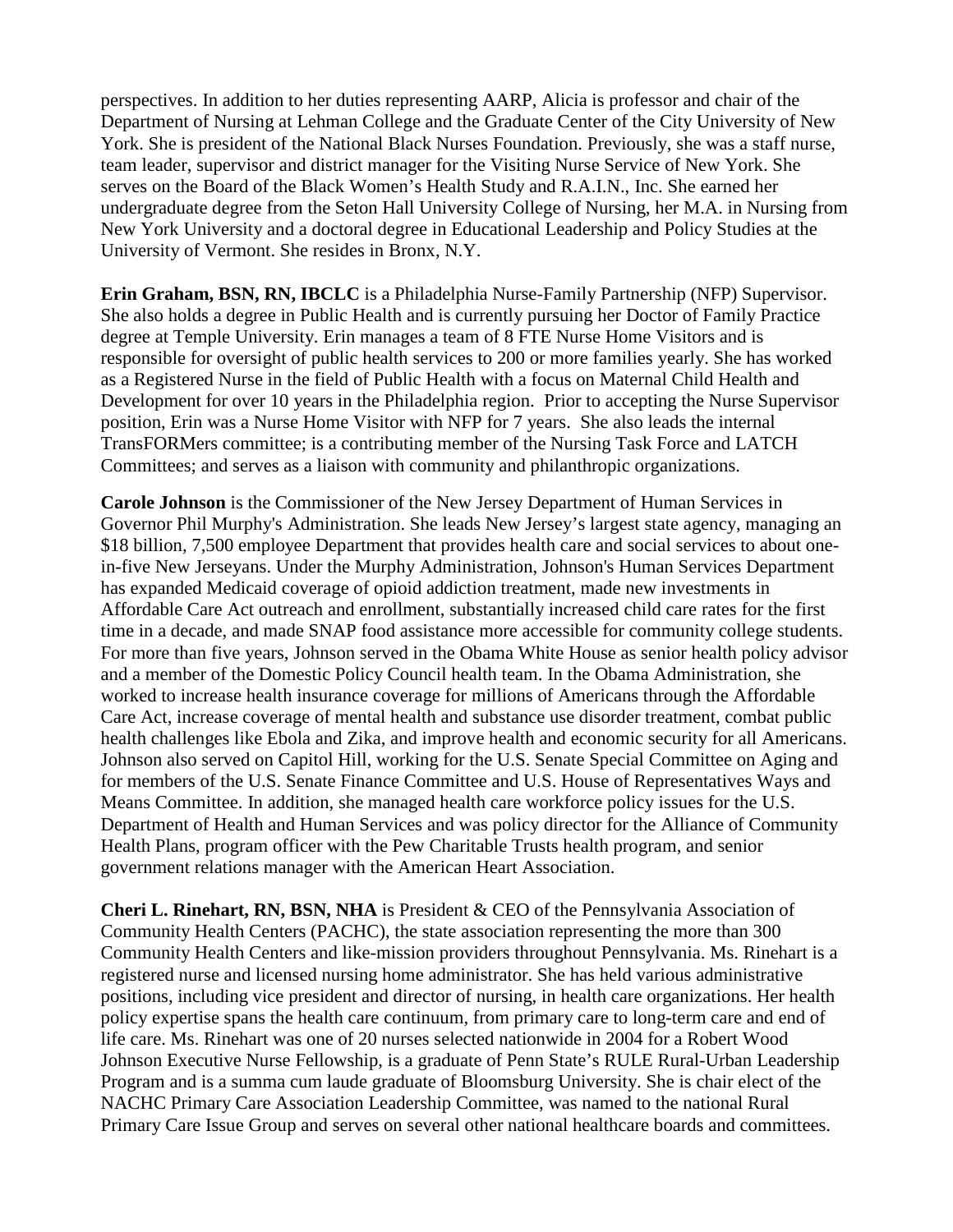perspectives. In addition to her duties representing AARP, Alicia is professor and chair of the Department of Nursing at Lehman College and the Graduate Center of the City University of New York. She is president of the National Black Nurses Foundation. Previously, she was a staff nurse, team leader, supervisor and district manager for the Visiting Nurse Service of New York. She serves on the Board of the Black Women's Health Study and R.A.I.N., Inc. She earned her undergraduate degree from the Seton Hall University College of Nursing, her M.A. in Nursing from New York University and a doctoral degree in Educational Leadership and Policy Studies at the University of Vermont. She resides in Bronx, N.Y.

**Erin Graham, BSN, RN, IBCLC** is a Philadelphia Nurse-Family Partnership (NFP) Supervisor. She also holds a degree in Public Health and is currently pursuing her Doctor of Family Practice degree at Temple University. Erin manages a team of 8 FTE Nurse Home Visitors and is responsible for oversight of public health services to 200 or more families yearly. She has worked as a Registered Nurse in the field of Public Health with a focus on Maternal Child Health and Development for over 10 years in the Philadelphia region. Prior to accepting the Nurse Supervisor position, Erin was a Nurse Home Visitor with NFP for 7 years. She also leads the internal TransFORMers committee; is a contributing member of the Nursing Task Force and LATCH Committees; and serves as a liaison with community and philanthropic organizations.

**Carole Johnson** is the Commissioner of the New Jersey Department of Human Services in Governor Phil Murphy's Administration. She leads New Jersey's largest state agency, managing an \$18 billion, 7,500 employee Department that provides health care and social services to about onein-five New Jerseyans. Under the Murphy Administration, Johnson's Human Services Department has expanded Medicaid coverage of opioid addiction treatment, made new investments in Affordable Care Act outreach and enrollment, substantially increased child care rates for the first time in a decade, and made SNAP food assistance more accessible for community college students. For more than five years, Johnson served in the Obama White House as senior health policy advisor and a member of the Domestic Policy Council health team. In the Obama Administration, she worked to increase health insurance coverage for millions of Americans through the Affordable Care Act, increase coverage of mental health and substance use disorder treatment, combat public health challenges like Ebola and Zika, and improve health and economic security for all Americans. Johnson also served on Capitol Hill, working for the U.S. Senate Special Committee on Aging and for members of the U.S. Senate Finance Committee and U.S. House of Representatives Ways and Means Committee. In addition, she managed health care workforce policy issues for the U.S. Department of Health and Human Services and was policy director for the Alliance of Community Health Plans, program officer with the Pew Charitable Trusts health program, and senior government relations manager with the American Heart Association.

**Cheri L. Rinehart, RN, BSN, NHA** is President & CEO of the Pennsylvania Association of Community Health Centers (PACHC), the state association representing the more than 300 Community Health Centers and like-mission providers throughout Pennsylvania. Ms. Rinehart is a registered nurse and licensed nursing home administrator. She has held various administrative positions, including vice president and director of nursing, in health care organizations. Her health policy expertise spans the health care continuum, from primary care to long-term care and end of life care. Ms. Rinehart was one of 20 nurses selected nationwide in 2004 for a Robert Wood Johnson Executive Nurse Fellowship, is a graduate of Penn State's RULE Rural-Urban Leadership Program and is a summa cum laude graduate of Bloomsburg University. She is chair elect of the NACHC Primary Care Association Leadership Committee, was named to the national Rural Primary Care Issue Group and serves on several other national healthcare boards and committees.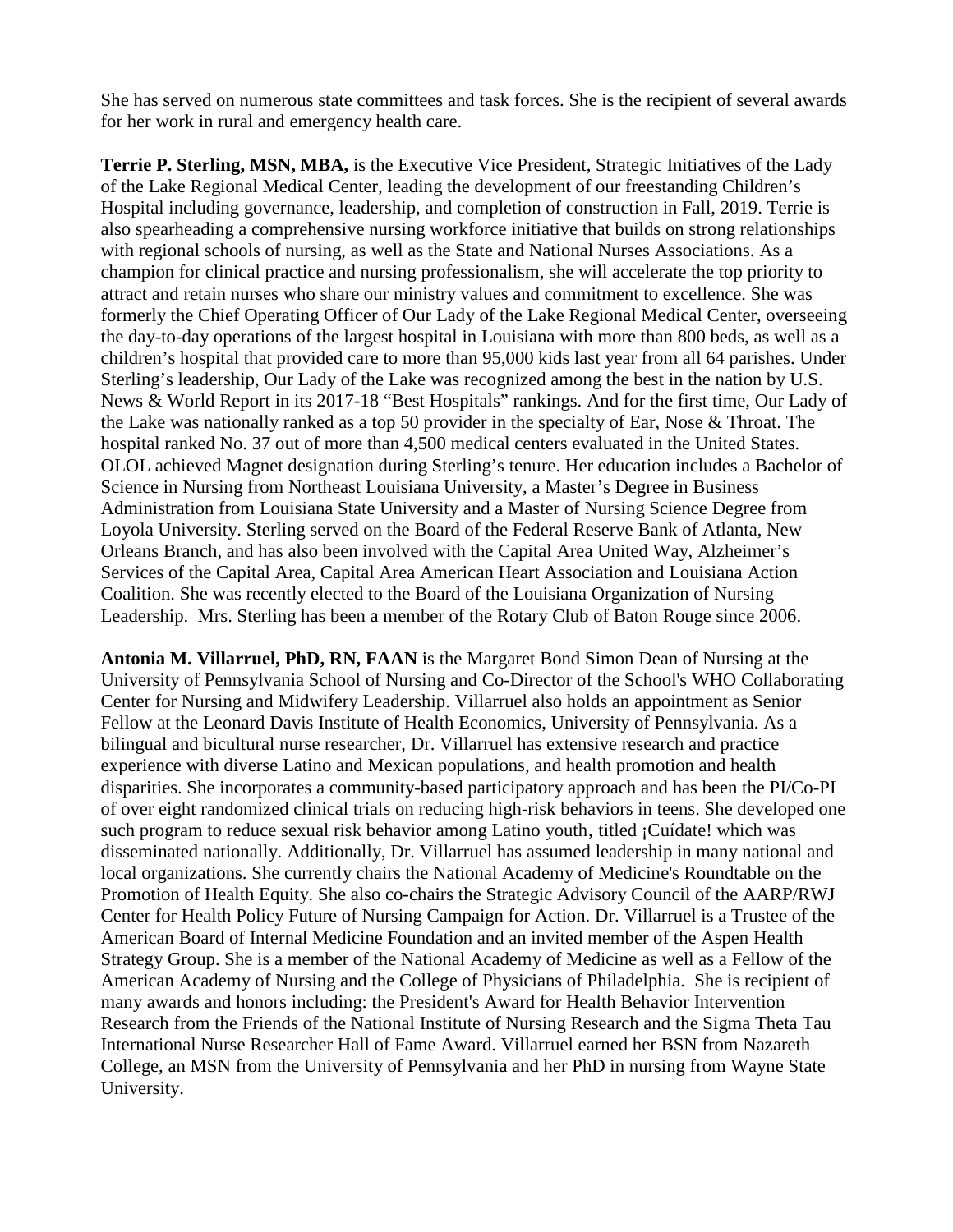She has served on numerous state committees and task forces. She is the recipient of several awards for her work in rural and emergency health care.

**Terrie P. Sterling, MSN, MBA,** is the Executive Vice President, Strategic Initiatives of the Lady of the Lake Regional Medical Center, leading the development of our freestanding Children's Hospital including governance, leadership, and completion of construction in Fall, 2019. Terrie is also spearheading a comprehensive nursing workforce initiative that builds on strong relationships with regional schools of nursing, as well as the State and National Nurses Associations. As a champion for clinical practice and nursing professionalism, she will accelerate the top priority to attract and retain nurses who share our ministry values and commitment to excellence. She was formerly the Chief Operating Officer of Our Lady of the Lake Regional Medical Center, overseeing the day-to-day operations of the largest hospital in Louisiana with more than 800 beds, as well as a children's hospital that provided care to more than 95,000 kids last year from all 64 parishes. Under Sterling's leadership, Our Lady of the Lake was recognized among the best in the nation by U.S. News & World Report in its 2017-18 "Best Hospitals" rankings. And for the first time, Our Lady of the Lake was nationally ranked as a top 50 provider in the specialty of Ear, Nose & Throat. The hospital ranked No. 37 out of more than 4,500 medical centers evaluated in the United States. OLOL achieved Magnet designation during Sterling's tenure. Her education includes a Bachelor of Science in Nursing from Northeast Louisiana University, a Master's Degree in Business Administration from Louisiana State University and a Master of Nursing Science Degree from Loyola University. Sterling served on the Board of the Federal Reserve Bank of Atlanta, New Orleans Branch, and has also been involved with the Capital Area United Way, Alzheimer's Services of the Capital Area, Capital Area American Heart Association and Louisiana Action Coalition. She was recently elected to the Board of the Louisiana Organization of Nursing Leadership. Mrs. Sterling has been a member of the Rotary Club of Baton Rouge since 2006.

**Antonia M. Villarruel, PhD, RN, FAAN** is the Margaret Bond Simon Dean of Nursing at the University of Pennsylvania School of Nursing and Co-Director of the School's WHO Collaborating Center for Nursing and Midwifery Leadership. Villarruel also holds an appointment as Senior Fellow at the Leonard Davis Institute of Health Economics, University of Pennsylvania. As a bilingual and bicultural nurse researcher, Dr. Villarruel has extensive research and practice experience with diverse Latino and Mexican populations, and health promotion and health disparities. She incorporates a community-based participatory approach and has been the PI/Co-PI of over eight randomized clinical trials on reducing high-risk behaviors in teens. She developed one such program to reduce sexual risk behavior among Latino youth, titled ¡Cuídate! which was disseminated nationally. Additionally, Dr. Villarruel has assumed leadership in many national and local organizations. She currently chairs the National Academy of Medicine's Roundtable on the Promotion of Health Equity. She also co-chairs the Strategic Advisory Council of the AARP/RWJ Center for Health Policy Future of Nursing Campaign for Action. Dr. Villarruel is a Trustee of the American Board of Internal Medicine Foundation and an invited member of the Aspen Health Strategy Group. She is a member of the National Academy of Medicine as well as a Fellow of the American Academy of Nursing and the College of Physicians of Philadelphia. She is recipient of many awards and honors including: the President's Award for Health Behavior Intervention Research from the Friends of the National Institute of Nursing Research and the Sigma Theta Tau International Nurse Researcher Hall of Fame Award. Villarruel earned her BSN from Nazareth College, an MSN from the University of Pennsylvania and her PhD in nursing from Wayne State University.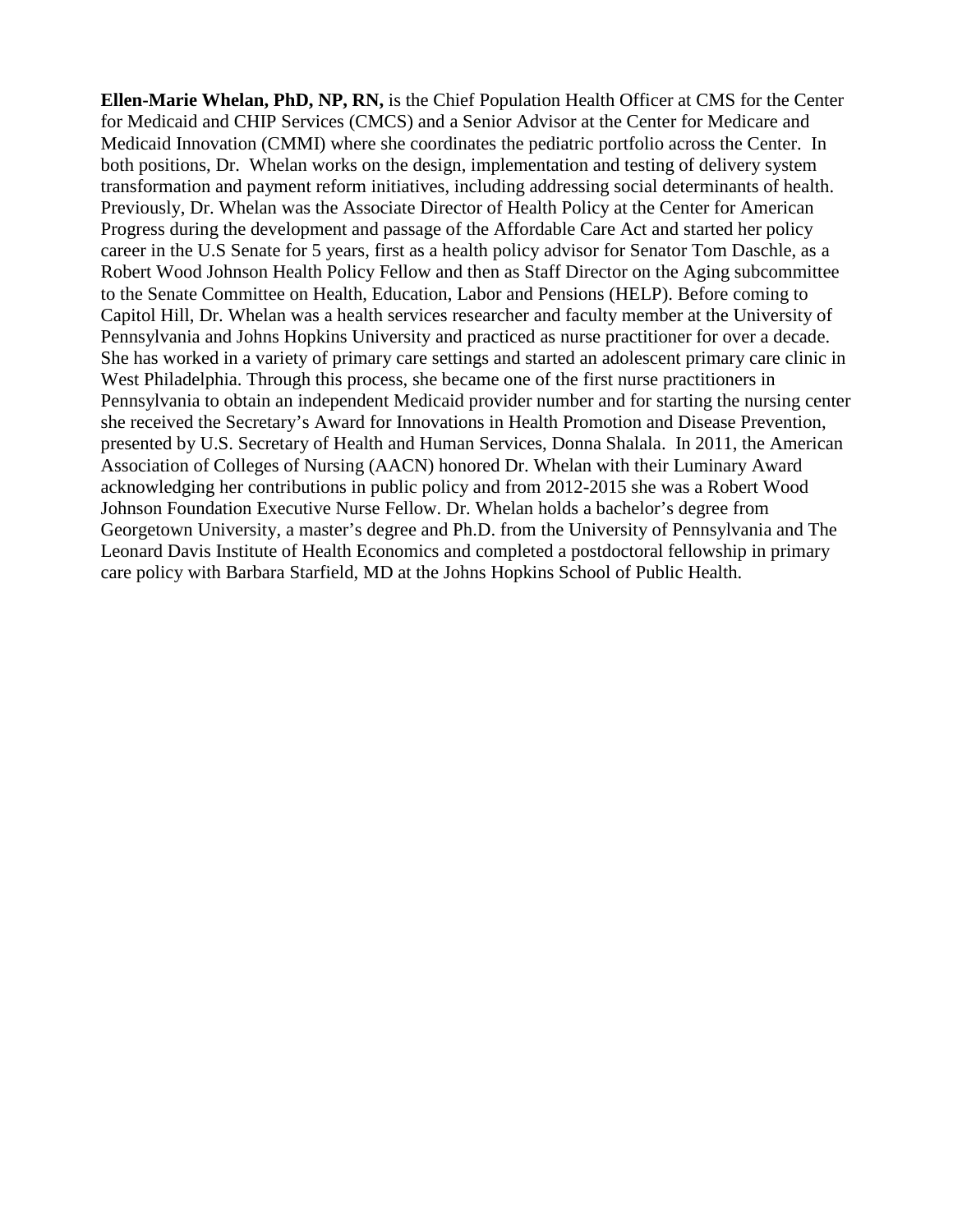**Ellen-Marie Whelan, PhD, NP, RN,** is the Chief Population Health Officer at CMS for the Center for Medicaid and CHIP Services (CMCS) and a Senior Advisor at the Center for Medicare and Medicaid Innovation (CMMI) where she coordinates the pediatric portfolio across the Center. In both positions, Dr. Whelan works on the design, implementation and testing of delivery system transformation and payment reform initiatives, including addressing social determinants of health. Previously, Dr. Whelan was the Associate Director of Health Policy at the Center for American Progress during the development and passage of the Affordable Care Act and started her policy career in the U.S Senate for 5 years, first as a health policy advisor for Senator Tom Daschle, as a Robert Wood Johnson Health Policy Fellow and then as Staff Director on the Aging subcommittee to the Senate Committee on Health, Education, Labor and Pensions (HELP). Before coming to Capitol Hill, Dr. Whelan was a health services researcher and faculty member at the University of Pennsylvania and Johns Hopkins University and practiced as nurse practitioner for over a decade. She has worked in a variety of primary care settings and started an adolescent primary care clinic in West Philadelphia. Through this process, she became one of the first nurse practitioners in Pennsylvania to obtain an independent Medicaid provider number and for starting the nursing center she received the Secretary's Award for Innovations in Health Promotion and Disease Prevention, presented by U.S. Secretary of Health and Human Services, Donna Shalala. In 2011, the American Association of Colleges of Nursing (AACN) honored Dr. Whelan with their Luminary Award acknowledging her contributions in public policy and from 2012-2015 she was a Robert Wood Johnson Foundation Executive Nurse Fellow. Dr. Whelan holds a bachelor's degree from Georgetown University, a master's degree and Ph.D. from the University of Pennsylvania and The Leonard Davis Institute of Health Economics and completed a postdoctoral fellowship in primary care policy with Barbara Starfield, MD at the Johns Hopkins School of Public Health.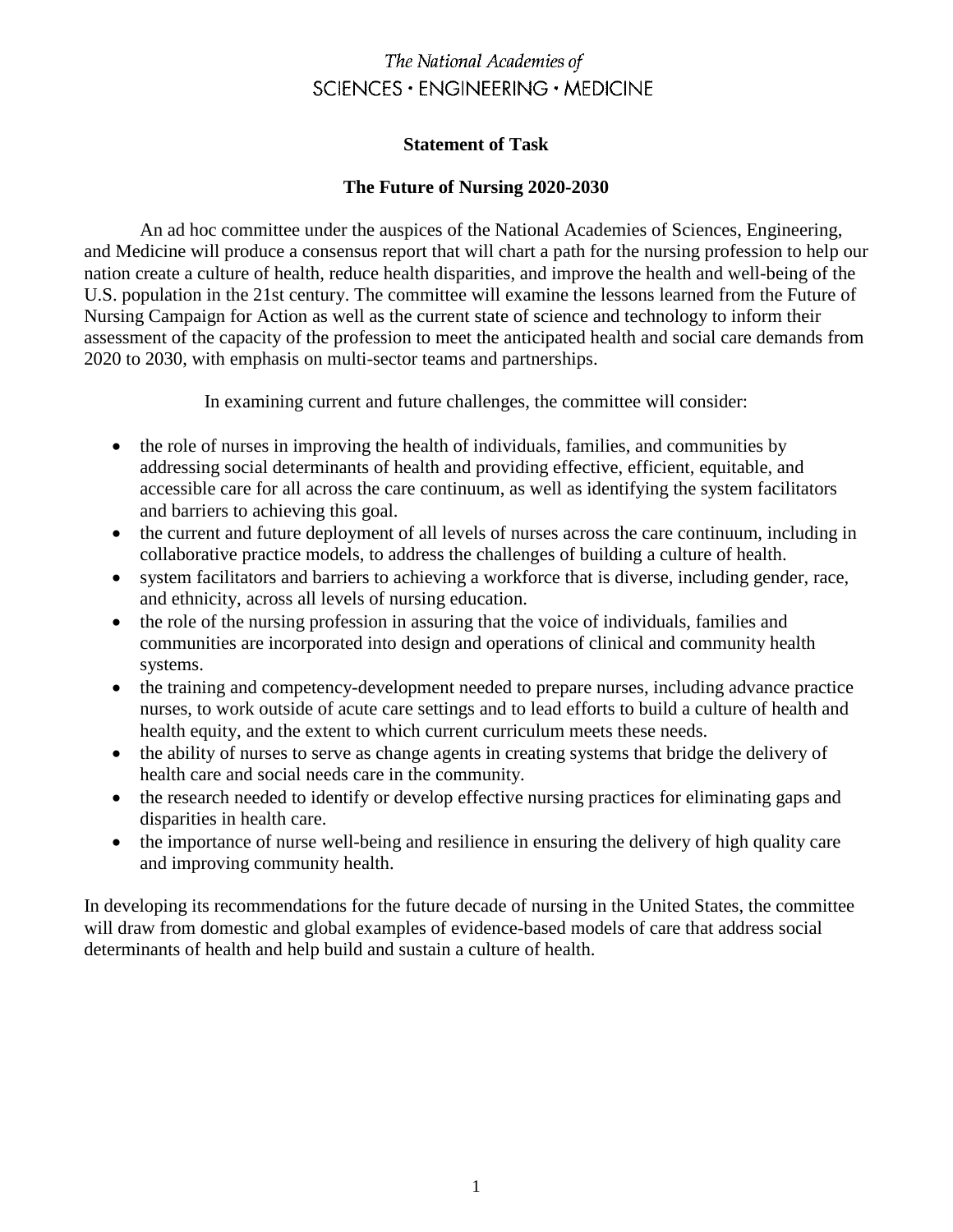## **Statement of Task**

### **The Future of Nursing 2020-2030**

An ad hoc committee under the auspices of the National Academies of Sciences, Engineering, and Medicine will produce a consensus report that will chart a path for the nursing profession to help our nation create a culture of health, reduce health disparities, and improve the health and well-being of the U.S. population in the 21st century. The committee will examine the lessons learned from the Future of Nursing Campaign for Action as well as the current state of science and technology to inform their assessment of the capacity of the profession to meet the anticipated health and social care demands from 2020 to 2030, with emphasis on multi-sector teams and partnerships.

In examining current and future challenges, the committee will consider:

- the role of nurses in improving the health of individuals, families, and communities by addressing social determinants of health and providing effective, efficient, equitable, and accessible care for all across the care continuum, as well as identifying the system facilitators and barriers to achieving this goal.
- the current and future deployment of all levels of nurses across the care continuum, including in collaborative practice models, to address the challenges of building a culture of health.
- system facilitators and barriers to achieving a workforce that is diverse, including gender, race, and ethnicity, across all levels of nursing education.
- the role of the nursing profession in assuring that the voice of individuals, families and communities are incorporated into design and operations of clinical and community health systems.
- the training and competency-development needed to prepare nurses, including advance practice nurses, to work outside of acute care settings and to lead efforts to build a culture of health and health equity, and the extent to which current curriculum meets these needs.
- the ability of nurses to serve as change agents in creating systems that bridge the delivery of health care and social needs care in the community.
- the research needed to identify or develop effective nursing practices for eliminating gaps and disparities in health care.
- the importance of nurse well-being and resilience in ensuring the delivery of high quality care and improving community health.

In developing its recommendations for the future decade of nursing in the United States, the committee will draw from domestic and global examples of evidence-based models of care that address social determinants of health and help build and sustain a culture of health.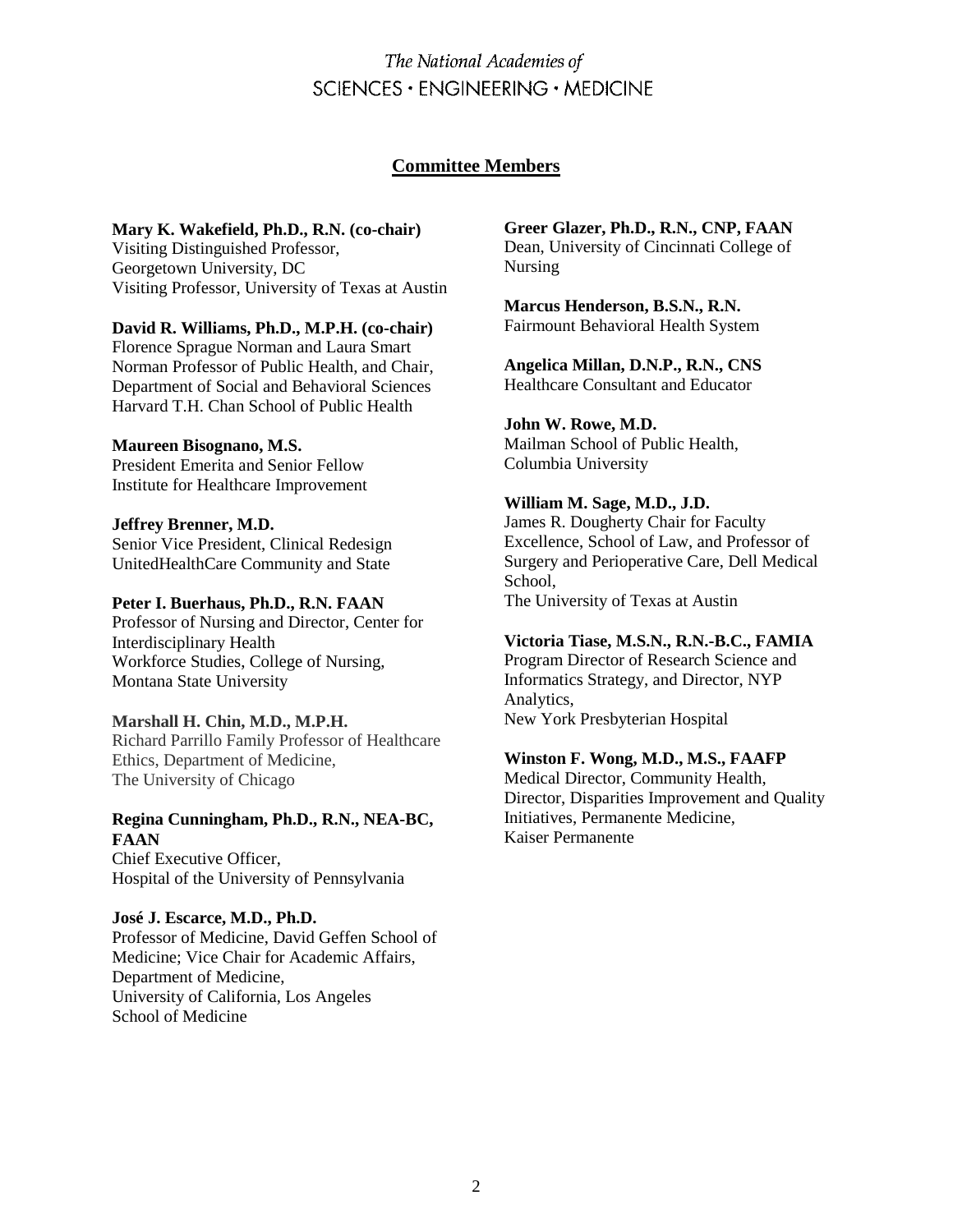# **Committee Members**

#### **Mary K. Wakefield, Ph.D., R.N. (co-chair)**

Visiting Distinguished Professor, Georgetown University, DC Visiting Professor, University of Texas at Austin

#### **David R. Williams, Ph.D., M.P.H. (co-chair)**

Florence Sprague Norman and Laura Smart Norman Professor of Public Health, and Chair, Department of Social and Behavioral Sciences Harvard T.H. Chan School of Public Health

#### **Maureen Bisognano, M.S.**

President Emerita and Senior Fellow Institute for Healthcare Improvement

#### **Jeffrey Brenner, M.D.**

Senior Vice President, Clinical Redesign UnitedHealthCare Community and State

#### **Peter I. Buerhaus, Ph.D., R.N. FAAN**

Professor of Nursing and Director, Center for Interdisciplinary Health Workforce Studies, College of Nursing, Montana State University

#### **Marshall H. Chin, M.D., M.P.H.**

Richard Parrillo Family Professor of Healthcare Ethics, Department of Medicine, The University of Chicago

#### **Regina Cunningham, Ph.D., R.N., NEA-BC, FAAN**

Chief Executive Officer, Hospital of the University of Pennsylvania

#### **José J. Escarce, M.D., Ph.D.** Professor of Medicine, David Geffen School of Medicine; Vice Chair for Academic Affairs, Department of Medicine, University of California, Los Angeles

School of Medicine

**Greer Glazer, Ph.D., R.N., CNP, FAAN** Dean, University of Cincinnati College of

Nursing

**Marcus Henderson, B.S.N., R.N.** Fairmount Behavioral Health System

# **Angelica Millan, D.N.P., R.N., CNS**

Healthcare Consultant and Educator

# **John W. Rowe, M.D.**

Mailman School of Public Health, Columbia University

## **William M. Sage, M.D., J.D.**

James R. Dougherty Chair for Faculty Excellence, School of Law, and Professor of Surgery and Perioperative Care, Dell Medical School.

The University of Texas at Austin

# **Victoria Tiase, M.S.N., R.N.-B.C., FAMIA**

Program Director of Research Science and Informatics Strategy, and Director, NYP Analytics, New York Presbyterian Hospital

## **Winston F. Wong, M.D., M.S., FAAFP**

Medical Director, Community Health, Director, Disparities Improvement and Quality Initiatives, Permanente Medicine, Kaiser Permanente